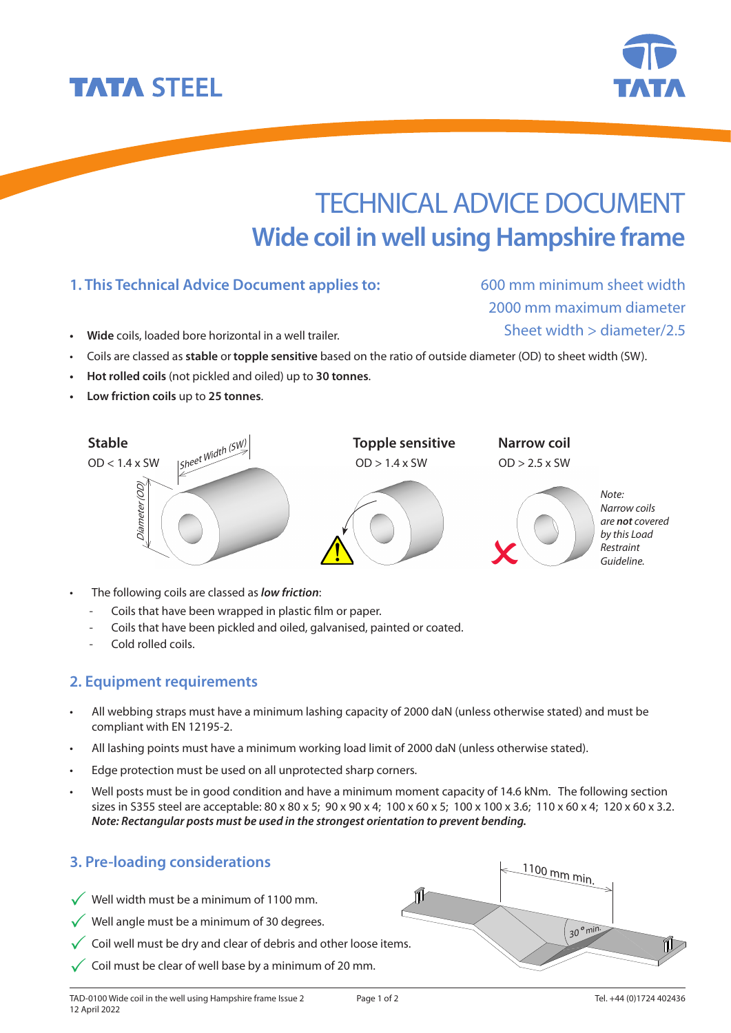

**• Hot rolled coils** (not pickled and oiled) up to **30 tonnes**.

**1. This Technical Advice Document applies to:**

**Low friction coils** up to 25 tonnes.

**TATA STEEL** 



- The following coils are classed as *low friction*:
	- Coils that have been wrapped in plastic film or paper.
	- Coils that have been pickled and oiled, galvanised, painted or coated.
	- Cold rolled coils.

### **2. Equipment requirements**

- All webbing straps must have a minimum lashing capacity of 2000 daN (unless otherwise stated) and must be compliant with EN 12195-2.
- All lashing points must have a minimum working load limit of 2000 daN (unless otherwise stated).
- Edge protection must be used on all unprotected sharp corners.
- Well posts must be in good condition and have a minimum moment capacity of 14.6 kNm. The following section sizes in S355 steel are acceptable: 80 x 80 x 5; 90 x 90 x 4; 100 x 60 x 5; 100 x 100 x 3.6; 110 x 60 x 4; 120 x 60 x 3.2. *Note: Rectangular posts must be used in the strongest orientation to prevent bending.*

## **3. Pre-loading considerations**

- $\checkmark$  Well width must be a minimum of 1100 mm.
- $\sqrt{\ }$  Well angle must be a minimum of 30 degrees.
- $\checkmark$  Coil well must be dry and clear of debris and other loose items.
- $\checkmark$  Coil must be clear of well base by a minimum of 20 mm.

### Tel. +44 (0)1724 402436



600 mm minimum sheet width 2000 mm maximum diameter Sheet width > diameter/2.5